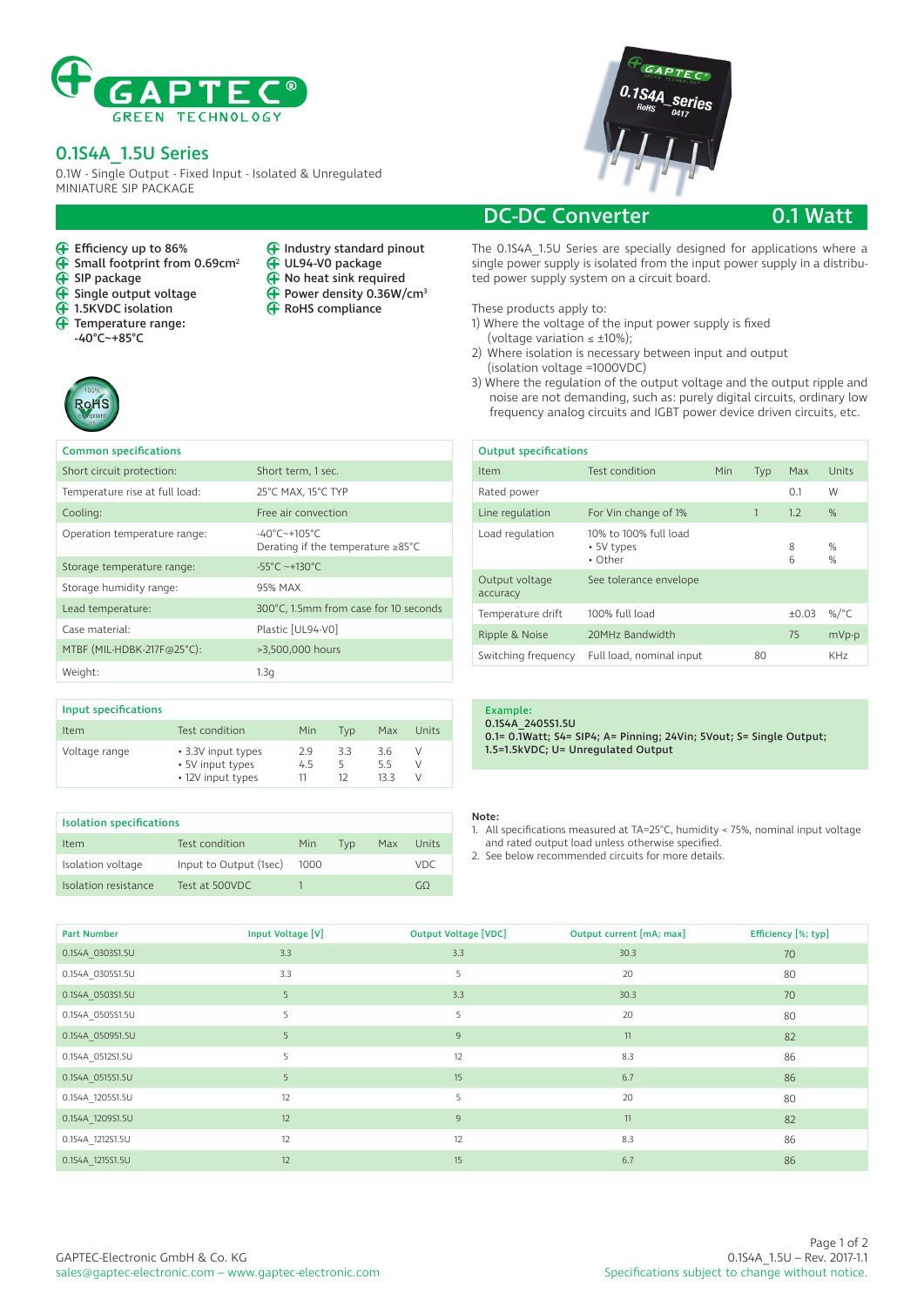

## 0.1S4A\_1.5U Series

← Efficiency up to 86%<br>← Small footprint from

 $\overline{\mathbf{F}}$  Single output voltage **4** 1.5KVDC isolation Temperature range: -40°C~+85°C

 $\overrightarrow{ }$  SIP package

 $\tilde{\mathbf{P}}$ 

Small footprint from 0.69cm<sup>2</sup>

0.1W - Single Output - Fixed Input - Isolated & Unregulated MINIATURE SIP PACKAGE

> $\tilde{\mathbf{\Theta}}$  $\tilde{\mathbf{\Theta}}$ ⊕

Industry standard pinout UL94-V0 package No heat sink required Power density 0.36W/cm3 RoHS compliance



## DC-DC Converter 0.1 Watt

The 0.1S4A\_1.5U Series are specially designed for applications where a single power supply is isolated from the input power supply in a distributed power supply system on a circuit board.

These products apply to:

- 1) Where the voltage of the input power supply is fixed
- (voltage variation  $\leq \pm 10\%$ );
- 2) Where isolation is necessary between input and output (isolation voltage =1000VDC)
- 3) Where the regulation of the output voltage and the output ripple and noise are not demanding, such as: purely digital circuits, ordinary low frequency analog circuits and IGBT power device driven circuits, etc.

| <b>Output specifications</b> |                                                          |  |     |       |                 |  |  |
|------------------------------|----------------------------------------------------------|--|-----|-------|-----------------|--|--|
| Item                         | Test condition<br>Min<br>Typ                             |  | Max | Units |                 |  |  |
| Rated power                  |                                                          |  |     | 0.1   | W               |  |  |
| Line regulation              | 1<br>For Vin change of 1%<br>1.2                         |  |     |       | %               |  |  |
| Load regulation              | 10% to 100% full load<br>8<br>• 5V types<br>• Other<br>6 |  |     |       | $\%$<br>$\%$    |  |  |
| Output voltage<br>accuracy   | See tolerance envelope                                   |  |     |       |                 |  |  |
| Temperature drift            | 100% full load<br>±0.03                                  |  |     |       | %/ $^{\circ}$ C |  |  |
| Ripple & Noise               | 20MHz Bandwidth<br>75                                    |  |     | mVp-p |                 |  |  |
| Switching frequency          | Full load, nominal input                                 |  | 80  |       | KH <sub>7</sub> |  |  |

| <b>Common specifications</b>   |                                                                                      |
|--------------------------------|--------------------------------------------------------------------------------------|
| Short circuit protection:      | Short term, 1 sec.                                                                   |
| Temperature rise at full load: | 25°C MAX, 15°C TYP                                                                   |
| Cooling:                       | Free air convection                                                                  |
| Operation temperature range:   | $-40^{\circ}$ C $-+105^{\circ}$ C<br>Derating if the temperature $\geq 85^{\circ}$ C |
| Storage temperature range:     | $-55^{\circ}$ C ~+130°C                                                              |
| Storage humidity range:        | 95% MAX                                                                              |
| Lead temperature:              | 300°C, 1.5mm from case for 10 seconds                                                |
| Case material:                 | Plastic [UL94-V0]                                                                    |
| MTBF (MIL-HDBK-217F@25°C):     | >3,500,000 hours                                                                     |
| Weight:                        | 1.3q                                                                                 |
|                                |                                                                                      |

| Input specifications |                                                             |                 |     |                    |             |  |
|----------------------|-------------------------------------------------------------|-----------------|-----|--------------------|-------------|--|
| Item                 | Test condition                                              | Min             | Tvd | Max                | Units       |  |
| Voltage range        | • 3.3V input types<br>• 5V input types<br>• 12V input types | 29<br>4.5<br>11 | 33  | 3.6<br>5.5<br>13.3 | V<br>V<br>V |  |

| <b>Isolation specifications</b> |                               |  |     |       |      |  |
|---------------------------------|-------------------------------|--|-----|-------|------|--|
| Item                            | Test condition<br>Min.<br>Tvp |  | Max | Units |      |  |
| Isolation voltage               | Input to Output (1sec)        |  |     |       | VDC. |  |
| Isolation resistance            | Test at 500VDC                |  |     |       |      |  |

### Example:

0.1S4A\_2405S1.5U 0.1= 0.1Watt; S4= SIP4; A= Pinning; 24Vin; 5Vout; S= Single Output; 1.5=1.5kVDC; U= Unregulated Output

### Note:

- 1. All specifications measured at TA=25°C, humidity < 75%, nominal input voltage and rated output load unless otherwise specified.
- 2. See below recommended circuits for more details.

| <b>Part Number</b> | Input Voltage [V] | <b>Output Voltage [VDC]</b> | Output current [mA; max] | Efficiency [%; typ] |
|--------------------|-------------------|-----------------------------|--------------------------|---------------------|
| 0.1S4A 0303S1.5U   | 3.3               | 3.3                         | 30.3                     | 70                  |
| 0.1S4A 0305S1.5U   | 3.3               | 5.                          | 20                       | 80                  |
| 0.1S4A 0503S1.5U   | 5                 | 3.3                         | 30.3                     | 70                  |
| 0.1S4A 0505S1.5U   | 5                 | 5                           | 20                       | 80                  |
| 0.1S4A 0509S1.5U   | 5                 | 9                           | 11                       | 82                  |
| 0.1S4A 0512S1.5U   | 5                 | 12                          | 8.3                      | 86                  |
| 0.1S4A 0515S1.5U   | 5                 | 15                          | 6.7                      | 86                  |
| 0.1S4A_1205S1.5U   | 12                | 5.                          | 20                       | 80                  |
| 0.1S4A 1209S1.5U   | 12                | $\overline{9}$              | 11                       | 82                  |
| 0.1S4A 1212S1.5U   | 12                | 12                          | 8.3                      | 86                  |
| 0.1S4A 1215S1.5U   | 12                | 15                          | 6.7                      | 86                  |